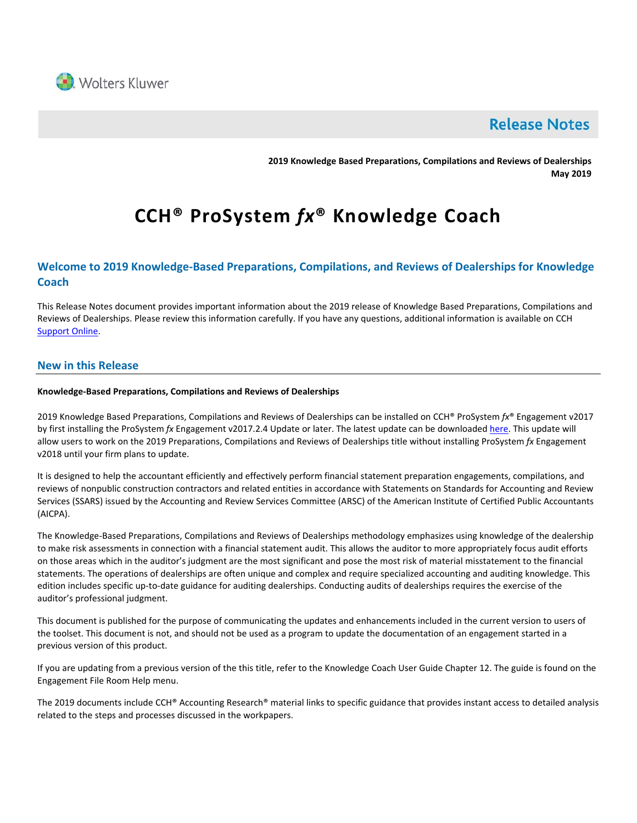

# **Release Notes**

**2019 Knowledge Based Preparations, Compilations and Reviews of Dealerships May 2019**

# **CCH® ProSystem** *fx***® Knowledge Coach**

# **Welcome to 2019 Knowledge-Based Preparations, Compilations, and Reviews of Dealerships for Knowledge Coach**

This Release Notes document provides important information about the 2019 release of Knowledge Based Preparations, Compilations and Reviews of Dealerships. Please review this information carefully. If you have any questions, additional information is available on CCH [Support Online.](http://support.cch.com/productsupport/)

# **New in this Release**

# **Knowledge-Based Preparations, Compilations and Reviews of Dealerships**

2019 Knowledge Based Preparations, Compilations and Reviews of Dealerships can be installed on CCH® ProSystem *fx*® Engagement v2017 by first installing the ProSystem *fx* Engagement v2017.2.4 Update or later. The latest update can be downloaded [here.](https://support.cch.com/updates/Engagement/release2017/release2017.aspx) This update will allow users to work on the 2019 Preparations, Compilations and Reviews of Dealerships title without installing ProSystem *fx* Engagement v2018 until your firm plans to update.

It is designed to help the accountant efficiently and effectively perform financial statement preparation engagements, compilations, and reviews of nonpublic construction contractors and related entities in accordance with Statements on Standards for Accounting and Review Services (SSARS) issued by the Accounting and Review Services Committee (ARSC) of the American Institute of Certified Public Accountants (AICPA).

The Knowledge-Based Preparations, Compilations and Reviews of Dealerships methodology emphasizes using knowledge of the dealership to make risk assessments in connection with a financial statement audit. This allows the auditor to more appropriately focus audit efforts on those areas which in the auditor's judgment are the most significant and pose the most risk of material misstatement to the financial statements. The operations of dealerships are often unique and complex and require specialized accounting and auditing knowledge. This edition includes specific up-to-date guidance for auditing dealerships. Conducting audits of dealerships requires the exercise of the auditor's professional judgment.

This document is published for the purpose of communicating the updates and enhancements included in the current version to users of the toolset. This document is not, and should not be used as a program to update the documentation of an engagement started in a previous version of this product.

If you are updating from a previous version of the this title, refer to the Knowledge Coach User Guide Chapter 12. The guide is found on the Engagement File Room Help menu.

The 2019 documents include CCH® Accounting Research® material links to specific guidance that provides instant access to detailed analysis related to the steps and processes discussed in the workpapers.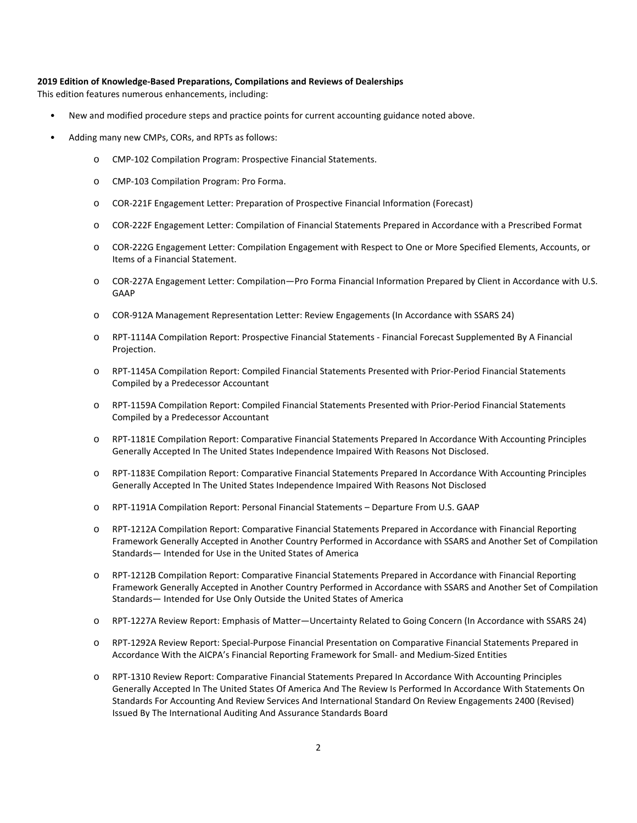#### **2019 Edition of Knowledge-Based Preparations, Compilations and Reviews of Dealerships**

This edition features numerous enhancements, including:

- New and modified procedure steps and practice points for current accounting guidance noted above.
- Adding many new CMPs, CORs, and RPTs as follows:
	- o CMP-102 Compilation Program: Prospective Financial Statements.
	- o CMP-103 Compilation Program: Pro Forma.
	- o COR-221F Engagement Letter: Preparation of Prospective Financial Information (Forecast)
	- o COR-222F Engagement Letter: Compilation of Financial Statements Prepared in Accordance with a Prescribed Format
	- o COR-222G Engagement Letter: Compilation Engagement with Respect to One or More Specified Elements, Accounts, or Items of a Financial Statement.
	- o COR-227A Engagement Letter: Compilation—Pro Forma Financial Information Prepared by Client in Accordance with U.S. GAAP
	- o COR-912A Management Representation Letter: Review Engagements (In Accordance with SSARS 24)
	- o RPT-1114A Compilation Report: Prospective Financial Statements Financial Forecast Supplemented By A Financial Projection.
	- o RPT-1145A Compilation Report: Compiled Financial Statements Presented with Prior-Period Financial Statements Compiled by a Predecessor Accountant
	- o RPT-1159A Compilation Report: Compiled Financial Statements Presented with Prior-Period Financial Statements Compiled by a Predecessor Accountant
	- o RPT-1181E Compilation Report: Comparative Financial Statements Prepared In Accordance With Accounting Principles Generally Accepted In The United States Independence Impaired With Reasons Not Disclosed.
	- o RPT-1183E Compilation Report: Comparative Financial Statements Prepared In Accordance With Accounting Principles Generally Accepted In The United States Independence Impaired With Reasons Not Disclosed
	- o RPT-1191A Compilation Report: Personal Financial Statements Departure From U.S. GAAP
	- o RPT-1212A Compilation Report: Comparative Financial Statements Prepared in Accordance with Financial Reporting Framework Generally Accepted in Another Country Performed in Accordance with SSARS and Another Set of Compilation Standards— Intended for Use in the United States of America
	- o RPT-1212B Compilation Report: Comparative Financial Statements Prepared in Accordance with Financial Reporting Framework Generally Accepted in Another Country Performed in Accordance with SSARS and Another Set of Compilation Standards— Intended for Use Only Outside the United States of America
	- o RPT-1227A Review Report: Emphasis of Matter—Uncertainty Related to Going Concern (In Accordance with SSARS 24)
	- o RPT-1292A Review Report: Special-Purpose Financial Presentation on Comparative Financial Statements Prepared in Accordance With the AICPA's Financial Reporting Framework for Small- and Medium-Sized Entities
	- o RPT-1310 Review Report: Comparative Financial Statements Prepared In Accordance With Accounting Principles Generally Accepted In The United States Of America And The Review Is Performed In Accordance With Statements On Standards For Accounting And Review Services And International Standard On Review Engagements 2400 (Revised) Issued By The International Auditing And Assurance Standards Board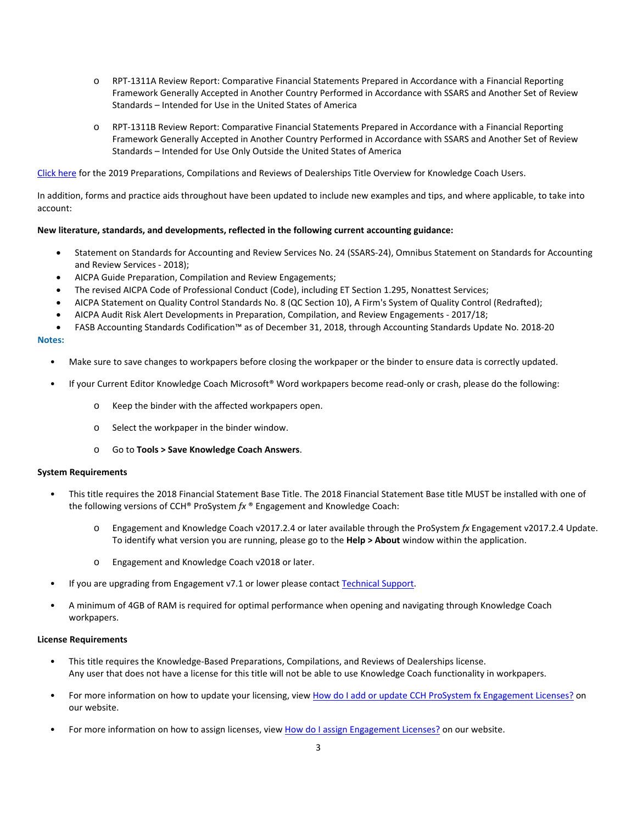- o RPT-1311A Review Report: Comparative Financial Statements Prepared in Accordance with a Financial Reporting Framework Generally Accepted in Another Country Performed in Accordance with SSARS and Another Set of Review Standards – Intended for Use in the United States of America
- o RPT-1311B Review Report: Comparative Financial Statements Prepared in Accordance with a Financial Reporting Framework Generally Accepted in Another Country Performed in Accordance with SSARS and Another Set of Review Standards – Intended for Use Only Outside the United States of America

[Click here](http://support.cch.com/updates/KnowledgeCoach/pdf/guides_tab/2019%20Dealerships%20PCR%20Title%20Overview%20for%20Knowledge%20Coach%20Users.pdf) for the 2019 Preparations, Compilations and Reviews of Dealerships Title Overview for Knowledge Coach Users.

In addition, forms and practice aids throughout have been updated to include new examples and tips, and where applicable, to take into account:

#### **New literature, standards, and developments, reflected in the following current accounting guidance:**

- Statement on Standards for Accounting and Review Services No. 24 (SSARS-24), Omnibus Statement on Standards for Accounting and Review Services - 2018);
- AICPA Guide Preparation, Compilation and Review Engagements;
- The revised AICPA Code of Professional Conduct (Code), including ET Section 1.295, Nonattest Services;
- AICPA Statement on Quality Control Standards No. 8 (QC Section 10), A Firm's System of Quality Control (Redrafted);
- AICPA Audit Risk Alert Developments in Preparation, Compilation, and Review Engagements 2017/18;
- FASB Accounting Standards Codification™ as of December 31, 2018, through Accounting Standards Update No. 2018-20

#### **Notes:**

- Make sure to save changes to workpapers before closing the workpaper or the binder to ensure data is correctly updated.
- If your Current Editor Knowledge Coach Microsoft® Word workpapers become read-only or crash, please do the following:
	- o Keep the binder with the affected workpapers open.
	- o Select the workpaper in the binder window.
	- o Go to **Tools > Save Knowledge Coach Answers**.

#### **System Requirements**

- This title requires the 2018 Financial Statement Base Title. The 2018 Financial Statement Base title MUST be installed with one of the following versions of CCH® ProSystem *fx* ® Engagement and Knowledge Coach:
	- o Engagement and Knowledge Coach v2017.2.4 or later available through the ProSystem *fx* Engagement v2017.2.4 Update. To identify what version you are running, please go to the **Help > About** window within the application.
	- o Engagement and Knowledge Coach v2018 or later.
- If you are upgrading from Engagement v7.1 or lower please contac[t Technical Support.](https://support.cch.com/contact)
- A minimum of 4GB of RAM is required for optimal performance when opening and navigating through Knowledge Coach workpapers.

#### **License Requirements**

- This title requires the Knowledge-Based Preparations, Compilations, and Reviews of Dealerships license. Any user that does not have a license for this title will not be able to use Knowledge Coach functionality in workpapers.
- For more information on how to update your licensing, view [How do I add or update CCH ProSystem fx Engagement Licenses?](https://support.cch.com/kb/solution.aspx/sw3937) on our website.
- For more information on how to assign licenses, view [How do I assign Engagement Licenses?](https://support.cch.com/kb/solution.aspx/sw3943) on our website.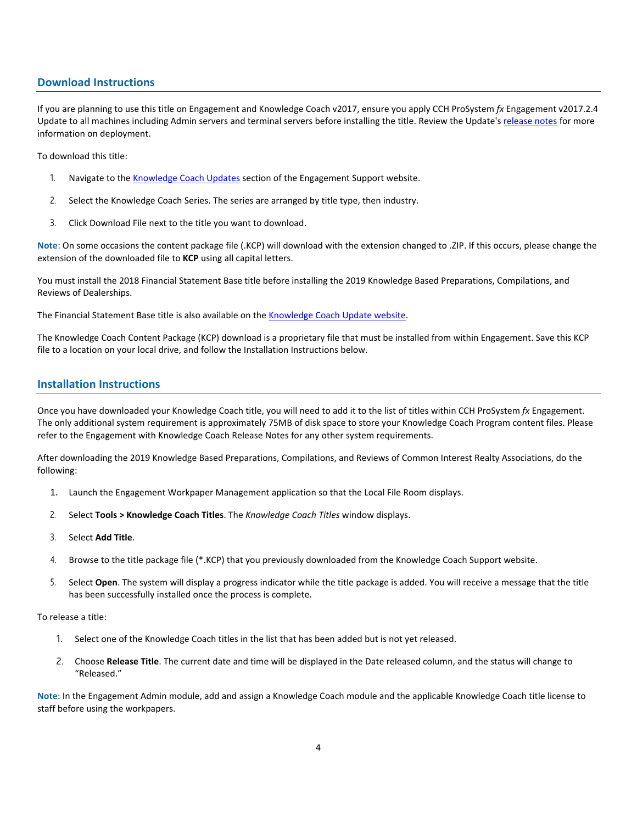# **Download Instructions**

If you are planning to use this title on Engagement and Knowledge Coach v2017, ensure you apply CCH ProSystem *fx* Engagement v2017.2.4 Update to all machines including Admin servers and terminal servers before installing the title. Review the Update's [release notes](https://d2iceilwdglxpz.cloudfront.net/release_notes/CCH%20ProSystem%20fx%20Engagement%20Release%20Notes%202017.2.4.pdf) for more information on deployment.

To download this title:

- 1. Navigate to the [Knowledge Coach Updates](http://support.cch.com/updates/KnowledgeCoach) section of the Engagement Support website.
- 2. Select the Knowledge Coach Series. The series are arranged by title type, then industry.
- 3. Click Download File next to the title you want to download.

**Note**: On some occasions the content package file (.KCP) will download with the extension changed to .ZIP. If this occurs, please change the extension of the downloaded file to **KCP** using all capital letters.

You must install the 2018 Financial Statement Base title before installing the 2019 Knowledge Based Preparations, Compilations, and Reviews of Dealerships.

The Financial Statement Base title is also available on th[e Knowledge Coach Update website.](http://support.cch.com/updates/KnowledgeCoach)

The Knowledge Coach Content Package (KCP) download is a proprietary file that must be installed from within Engagement. Save this KCP file to a location on your local drive, and follow the Installation Instructions below.

# **Installation Instructions**

Once you have downloaded your Knowledge Coach title, you will need to add it to the list of titles within CCH ProSystem *fx* Engagement. The only additional system requirement is approximately 75MB of disk space to store your Knowledge Coach Program content files. Please refer to the Engagement with Knowledge Coach Release Notes for any other system requirements.

After downloading the 2019 Knowledge Based Preparations, Compilations, and Reviews of Common Interest Realty Associations, do the following:

- 1. Launch the Engagement Workpaper Management application so that the Local File Room displays.
- 2. Select **Tools > Knowledge Coach Titles**. The *Knowledge Coach Titles* window displays.
- 3. Select **Add Title**.
- 4. Browse to the title package file (\*.KCP) that you previously downloaded from the Knowledge Coach Support website.
- 5. Select **Open**. The system will display a progress indicator while the title package is added. You will receive a message that the title has been successfully installed once the process is complete.

To release a title:

- 1. Select one of the Knowledge Coach titles in the list that has been added but is not yet released.
- 2. Choose **Release Title**. The current date and time will be displayed in the Date released column, and the status will change to "Released."

**Note**: In the Engagement Admin module, add and assign a Knowledge Coach module and the applicable Knowledge Coach title license to staff before using the workpapers.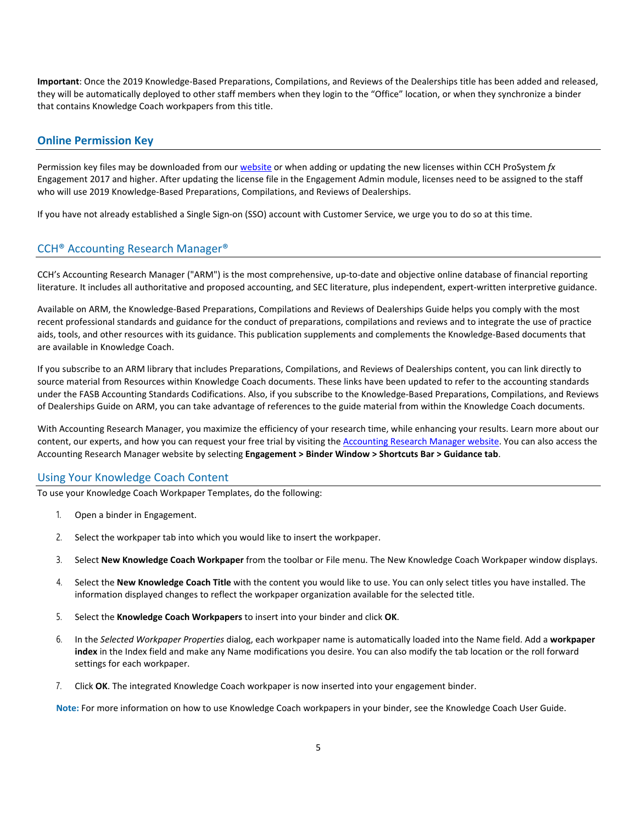**Important**: Once the 2019 Knowledge-Based Preparations, Compilations, and Reviews of the Dealerships title has been added and released, they will be automatically deployed to other staff members when they login to the "Office" location, or when they synchronize a binder that contains Knowledge Coach workpapers from this title.

### **Online Permission Key**

Permission key files may be downloaded from our [website](https://prosystemfxsupport.tax.cchgroup.com/permkey/download.aspx) or when adding or updating the new licenses within CCH ProSystem *fx* Engagement 2017 and higher. After updating the license file in the Engagement Admin module, licenses need to be assigned to the staff who will use 2019 Knowledge-Based Preparations, Compilations, and Reviews of Dealerships.

If you have not already established a Single Sign-on (SSO) account with Customer Service, we urge you to do so at this time.

#### CCH® Accounting Research Manager®

CCH's Accounting Research Manager ("ARM") is the most comprehensive, up-to-date and objective online database of financial reporting literature. It includes all authoritative and proposed accounting, and SEC literature, plus independent, expert-written interpretive guidance.

Available on ARM, the Knowledge-Based Preparations, Compilations and Reviews of Dealerships Guide helps you comply with the most recent professional standards and guidance for the conduct of preparations, compilations and reviews and to integrate the use of practice aids, tools, and other resources with its guidance. This publication supplements and complements the Knowledge-Based documents that are available in Knowledge Coach.

If you subscribe to an ARM library that includes Preparations, Compilations, and Reviews of Dealerships content, you can link directly to source material from Resources within Knowledge Coach documents. These links have been updated to refer to the accounting standards under the FASB Accounting Standards Codifications. Also, if you subscribe to the Knowledge-Based Preparations, Compilations, and Reviews of Dealerships Guide on ARM, you can take advantage of references to the guide material from within the Knowledge Coach documents.

With Accounting Research Manager, you maximize the efficiency of your research time, while enhancing your results. Learn more about our content, our experts, and how you can request your free trial by visiting the [Accounting Research Manager website.](http://www.accountingresearchmanager.com/) You can also access the Accounting Research Manager website by selecting **Engagement > Binder Window > Shortcuts Bar > Guidance tab**.

#### Using Your Knowledge Coach Content

To use your Knowledge Coach Workpaper Templates, do the following:

- 1. Open a binder in Engagement.
- 2. Select the workpaper tab into which you would like to insert the workpaper.
- 3. Select **New Knowledge Coach Workpaper** from the toolbar or File menu. The New Knowledge Coach Workpaper window displays.
- 4. Select the **New Knowledge Coach Title** with the content you would like to use. You can only select titles you have installed. The information displayed changes to reflect the workpaper organization available for the selected title.
- 5. Select the **Knowledge Coach Workpapers** to insert into your binder and click **OK**.
- 6. In the *Selected Workpaper Properties* dialog, each workpaper name is automatically loaded into the Name field. Add a **workpaper index** in the Index field and make any Name modifications you desire. You can also modify the tab location or the roll forward settings for each workpaper.
- 7. Click **OK**. The integrated Knowledge Coach workpaper is now inserted into your engagement binder.

**Note:** For more information on how to use Knowledge Coach workpapers in your binder, see the Knowledge Coach User Guide.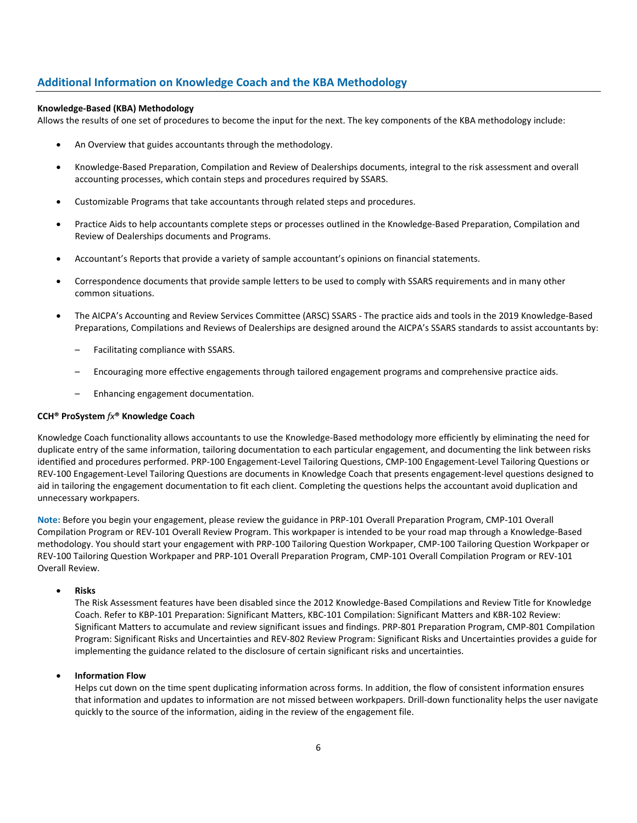# **Additional Information on Knowledge Coach and the KBA Methodology**

#### **Knowledge-Based (KBA) Methodology**

Allows the results of one set of procedures to become the input for the next. The key components of the KBA methodology include:

- An Overview that guides accountants through the methodology.
- Knowledge-Based Preparation, Compilation and Review of Dealerships documents, integral to the risk assessment and overall accounting processes, which contain steps and procedures required by SSARS.
- Customizable Programs that take accountants through related steps and procedures.
- Practice Aids to help accountants complete steps or processes outlined in the Knowledge-Based Preparation, Compilation and Review of Dealerships documents and Programs.
- Accountant's Reports that provide a variety of sample accountant's opinions on financial statements.
- Correspondence documents that provide sample letters to be used to comply with SSARS requirements and in many other common situations.
- The AICPA's Accounting and Review Services Committee (ARSC) SSARS The practice aids and tools in the 2019 Knowledge-Based Preparations, Compilations and Reviews of Dealerships are designed around the AICPA's SSARS standards to assist accountants by:
	- Facilitating compliance with SSARS.
	- Encouraging more effective engagements through tailored engagement programs and comprehensive practice aids.
	- Enhancing engagement documentation.

#### **CCH® ProSystem** *fx***® Knowledge Coach**

Knowledge Coach functionality allows accountants to use the Knowledge-Based methodology more efficiently by eliminating the need for duplicate entry of the same information, tailoring documentation to each particular engagement, and documenting the link between risks identified and procedures performed. PRP-100 Engagement-Level Tailoring Questions, CMP-100 Engagement-Level Tailoring Questions or REV-100 Engagement-Level Tailoring Questions are documents in Knowledge Coach that presents engagement-level questions designed to aid in tailoring the engagement documentation to fit each client. Completing the questions helps the accountant avoid duplication and unnecessary workpapers.

**Note:** Before you begin your engagement, please review the guidance in PRP-101 Overall Preparation Program, CMP-101 Overall Compilation Program or REV-101 Overall Review Program. This workpaper is intended to be your road map through a Knowledge-Based methodology. You should start your engagement with PRP-100 Tailoring Question Workpaper, CMP-100 Tailoring Question Workpaper or REV-100 Tailoring Question Workpaper and PRP-101 Overall Preparation Program, CMP-101 Overall Compilation Program or REV-101 Overall Review.

#### • **Risks**

The Risk Assessment features have been disabled since the 2012 Knowledge-Based Compilations and Review Title for Knowledge Coach. Refer to KBP-101 Preparation: Significant Matters, KBC-101 Compilation: Significant Matters and KBR-102 Review: Significant Matters to accumulate and review significant issues and findings. PRP-801 Preparation Program, CMP-801 Compilation Program: Significant Risks and Uncertainties and REV-802 Review Program: Significant Risks and Uncertainties provides a guide for implementing the guidance related to the disclosure of certain significant risks and uncertainties.

#### • **Information Flow**

Helps cut down on the time spent duplicating information across forms. In addition, the flow of consistent information ensures that information and updates to information are not missed between workpapers. Drill-down functionality helps the user navigate quickly to the source of the information, aiding in the review of the engagement file.